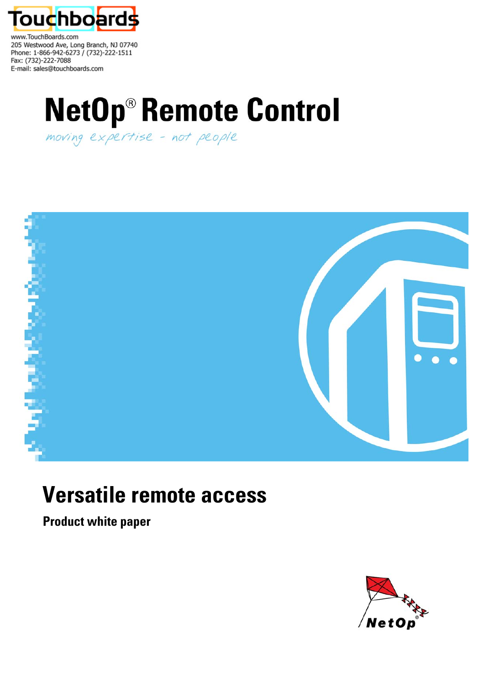

www.TouchBoards.com 205 Westwood Ave, Long Branch, NJ 07740 Phone: 1-866-942-6273 / (732)-222-1511 Fax: (732)-222-7088 E-mail: sales@touchboards.com

# **NetOp<sup>®</sup> Remote Control**

moving expertise - not people



## **Versatile remote access**

**Product white paper** 

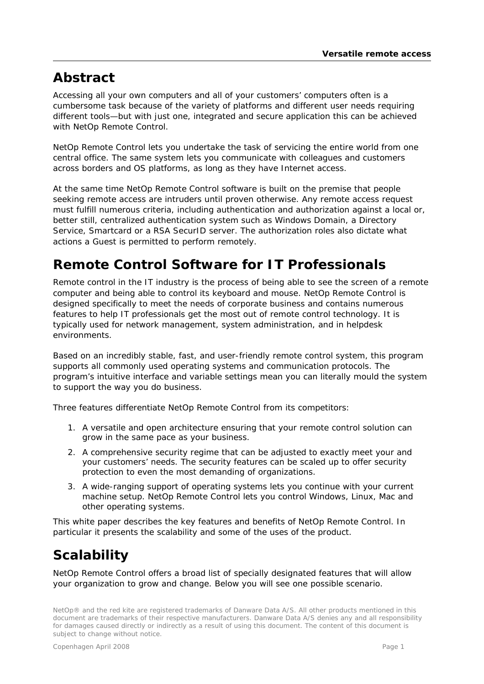### **Abstract**

Accessing all your own computers and all of your customers' computers often is a cumbersome task because of the variety of platforms and different user needs requiring different tools—but with just one, integrated and secure application this can be achieved with NetOp Remote Control.

NetOp Remote Control lets you undertake the task of servicing the entire world from one central office. The same system lets you communicate with colleagues and customers across borders and OS platforms, as long as they have Internet access.

At the same time NetOp Remote Control software is built on the premise that people seeking remote access are intruders until proven otherwise. Any remote access request must fulfill numerous criteria, including authentication and authorization against a local or, better still, centralized authentication system such as Windows Domain, a Directory Service, Smartcard or a RSA SecurID server. The authorization roles also dictate what actions a Guest is permitted to perform remotely.

## **Remote Control Software for IT Professionals**

Remote control in the IT industry is the process of being able to see the screen of a remote computer and being able to control its keyboard and mouse. NetOp Remote Control is designed specifically to meet the needs of corporate business and contains numerous features to help IT professionals get the most out of remote control technology. It is typically used for network management, system administration, and in helpdesk environments.

Based on an incredibly stable, fast, and user-friendly remote control system, this program supports all commonly used operating systems and communication protocols. The program's intuitive interface and variable settings mean you can literally mould the system to support the way you do business.

Three features differentiate NetOp Remote Control from its competitors:

- 1. A versatile and open architecture ensuring that your remote control solution can grow in the same pace as your business.
- 2. A comprehensive security regime that can be adjusted to exactly meet your and your customers' needs. The security features can be scaled up to offer security protection to even the most demanding of organizations.
- 3. A wide-ranging support of operating systems lets you continue with your current machine setup. NetOp Remote Control lets you control Windows, Linux, Mac and other operating systems.

This white paper describes the key features and benefits of NetOp Remote Control. In particular it presents the scalability and some of the uses of the product.

## **Scalability**

NetOp Remote Control offers a broad list of specially designated features that will allow your organization to grow and change. Below you will see one possible scenario.

NetOp® and the red kite are registered trademarks of Danware Data A/S. All other products mentioned in this document are trademarks of their respective manufacturers. Danware Data A/S denies any and all responsibility for damages caused directly or indirectly as a result of using this document. The content of this document is subject to change without notice.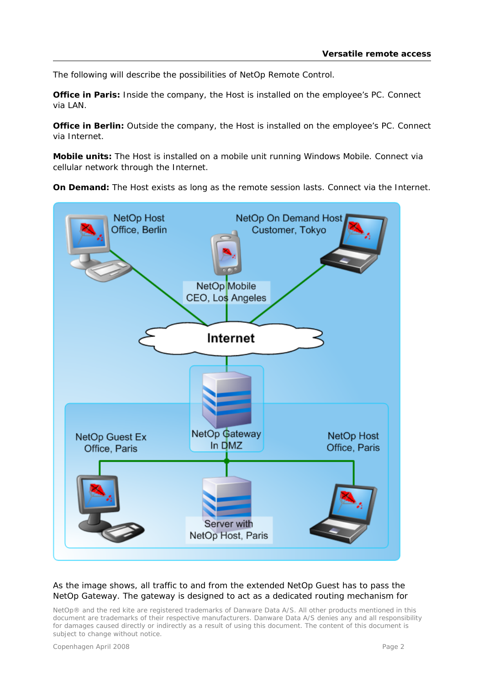The following will describe the possibilities of NetOp Remote Control.

**Office in Paris:** Inside the company, the Host is installed on the employee's PC. Connect via LAN.

**Office in Berlin:** Outside the company, the Host is installed on the employee's PC. Connect via Internet.

**Mobile units:** The Host is installed on a mobile unit running Windows Mobile. Connect via cellular network through the Internet.

**On Demand:** The Host exists as long as the remote session lasts. Connect via the Internet.



#### As the image shows, all traffic to and from the extended NetOp Guest has to pass the NetOp Gateway. The gateway is designed to act as a dedicated routing mechanism for

NetOp® and the red kite are registered trademarks of Danware Data A/S. All other products mentioned in this document are trademarks of their respective manufacturers. Danware Data A/S denies any and all responsibility for damages caused directly or indirectly as a result of using this document. The content of this document is subject to change without notice.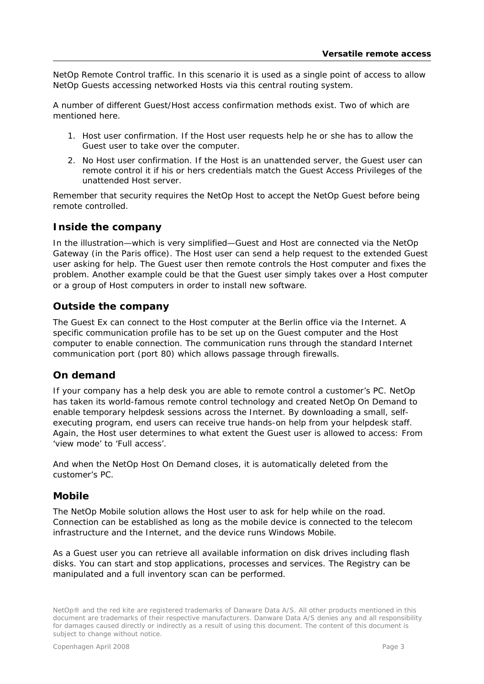NetOp Remote Control traffic. In this scenario it is used as a single point of access to allow NetOp Guests accessing networked Hosts via this central routing system.

A number of different Guest/Host access confirmation methods exist. Two of which are mentioned here.

- 1. Host user confirmation. If the Host user requests help he or she has to allow the Guest user to take over the computer.
- 2. No Host user confirmation. If the Host is an unattended server, the Guest user can remote control it if his or hers credentials match the Guest Access Privileges of the unattended Host server.

Remember that security requires the NetOp Host to accept the NetOp Guest before being remote controlled.

#### **Inside the company**

In the illustration—which is very simplified—Guest and Host are connected via the NetOp Gateway (in the Paris office). The Host user can send a help request to the extended Guest user asking for help. The Guest user then remote controls the Host computer and fixes the problem. Another example could be that the Guest user simply takes over a Host computer or a group of Host computers in order to install new software.

#### **Outside the company**

The Guest Ex can connect to the Host computer at the Berlin office via the Internet. A specific communication profile has to be set up on the Guest computer and the Host computer to enable connection. The communication runs through the standard Internet communication port (port 80) which allows passage through firewalls.

#### **On demand**

If your company has a help desk you are able to remote control a customer's PC. NetOp has taken its world-famous remote control technology and created NetOp On Demand to enable temporary helpdesk sessions across the Internet. By downloading a small, selfexecuting program, end users can receive true hands-on help from your helpdesk staff. Again, the Host user determines to what extent the Guest user is allowed to access: From 'view mode' to 'Full access'.

And when the NetOp Host On Demand closes, it is automatically deleted from the customer's PC.

#### **Mobile**

The NetOp Mobile solution allows the Host user to ask for help while on the road. Connection can be established as long as the mobile device is connected to the telecom infrastructure and the Internet, and the device runs Windows Mobile.

As a Guest user you can retrieve all available information on disk drives including flash disks. You can start and stop applications, processes and services. The Registry can be manipulated and a full inventory scan can be performed.

NetOp® and the red kite are registered trademarks of Danware Data A/S. All other products mentioned in this document are trademarks of their respective manufacturers. Danware Data A/S denies any and all responsibility for damages caused directly or indirectly as a result of using this document. The content of this document is subject to change without notice.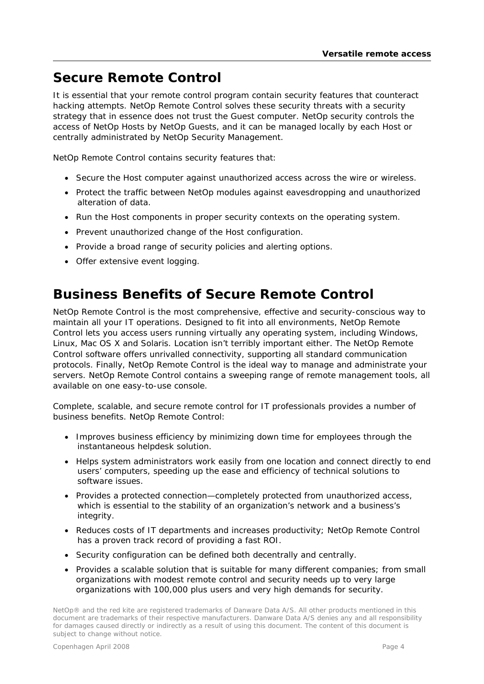## **Secure Remote Control**

It is essential that your remote control program contain security features that counteract hacking attempts. NetOp Remote Control solves these security threats with a security strategy that in essence *does not* trust the Guest computer. NetOp security controls the access of NetOp Hosts by NetOp Guests, and it can be managed locally by each Host or centrally administrated by [NetOp Security Management.](http://www.netop.com/netop-114.htm)

NetOp Remote Control contains security features that:

- Secure the Host computer against unauthorized access across the wire or wireless.
- Protect the traffic between NetOp modules against eavesdropping and unauthorized alteration of data.
- Run the Host components in proper security contexts on the operating system.
- Prevent unauthorized change of the Host configuration.
- Provide a broad range of security policies and alerting options.
- Offer extensive event logging.

## **Business Benefits of Secure Remote Control**

NetOp Remote Control is the most comprehensive, effective and security-conscious way to maintain all your IT operations. Designed to fit into all environments, NetOp Remote Control lets you access users running virtually any operating system, including Windows, Linux, Mac OS X and Solaris. Location isn't terribly important either. The NetOp Remote Control software offers unrivalled connectivity, supporting all standard communication protocols. Finally, NetOp Remote Control is the ideal way to manage and administrate your servers. NetOp Remote Control contains a sweeping range of remote management tools, all available on one easy-to-use console.

Complete, scalable, and secure remote control for IT professionals provides a number of business benefits. NetOp Remote Control:

- Improves business efficiency by minimizing down time for employees through the instantaneous helpdesk solution.
- Helps system administrators work easily from one location and connect directly to end users' computers, speeding up the ease and efficiency of technical solutions to software issues.
- Provides a protected connection—completely protected from unauthorized access, which is essential to the stability of an organization's network and a business's integrity.
- Reduces costs of IT departments and increases productivity; NetOp Remote Control has a proven track record of providing a fast ROI.
- Security configuration can be defined both decentrally and centrally.
- Provides a scalable solution that is suitable for many different companies; from small organizations with modest remote control and security needs up to very large organizations with 100,000 plus users and very high demands for security.

NetOp® and the red kite are registered trademarks of Danware Data A/S. All other products mentioned in this document are trademarks of their respective manufacturers. Danware Data A/S denies any and all responsibility for damages caused directly or indirectly as a result of using this document. The content of this document is subject to change without notice.